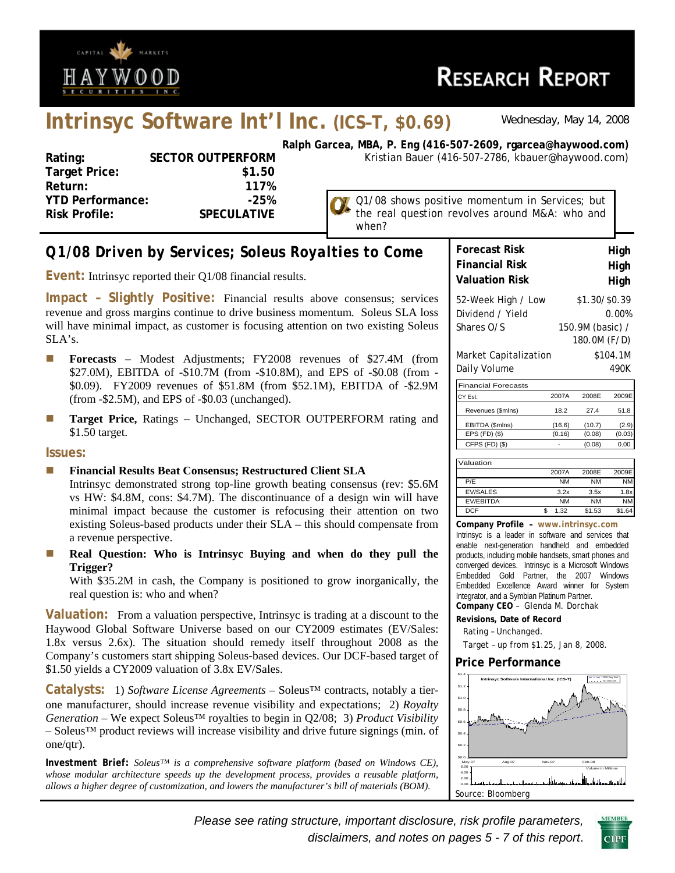

# **RESEARCH REPORT**

## **Intrinsyc Software Int'l Inc. (ICS–T, \$0.69)** *Wednesday, May 14, 2008*

| Rating:                 | <b>SECTOR OUTPERFORM</b> |
|-------------------------|--------------------------|
| <b>Target Price:</b>    | \$1.50                   |
| Return:                 | 117%                     |
| <b>YTD Performance:</b> | $-25%$                   |
| <b>Risk Profile:</b>    | <b>SPECULATIVE</b>       |
|                         |                          |

**Ralph Garcea, MBA, P. Eng (416-507-2609, rgarcea@haywood.com)** Kristian Bauer (416-507-2786, kbauer@haywood.com)

> the real question revolves around M&A: who and when?

Q1/08 shows positive momentum in Services; but

## *Q1/08 Driven by Services; Soleus Royalties to Come*

**Event:** Intrinsyc reported their Q1/08 financial results.

**Impact – Slightly Positive:** Financial results above consensus; services revenue and gross margins continue to drive business momentum. Soleus SLA loss will have minimal impact, as customer is focusing attention on two existing Soleus SLA's.

- **Forecasts Modest Adjustments; FY2008 revenues of \$27.4M (from** \$27.0M), EBITDA of -\$10.7M (from -\$10.8M), and EPS of -\$0.08 (from - \$0.09). FY2009 revenues of \$51.8M (from \$52.1M), EBITDA of -\$2.9M (from -\$2.5M), and EPS of -\$0.03 (unchanged).
- **Target Price, Ratings Unchanged, SECTOR OUTPERFORM rating and** \$1.50 target.

#### **Issues:**

#### **Financial Results Beat Consensus; Restructured Client SLA**

Intrinsyc demonstrated strong top-line growth beating consensus (rev: \$5.6M vs HW: \$4.8M, cons: \$4.7M). The discontinuance of a design win will have minimal impact because the customer is refocusing their attention on two existing Soleus-based products under their SLA – this should compensate from a revenue perspective.

**Real Question: Who is Intrinsyc Buying and when do they pull the Trigger?** 

With \$35.2M in cash, the Company is positioned to grow inorganically, the real question is: who and when?

**Valuation:** From a valuation perspective, Intrinsyc is trading at a discount to the Haywood Global Software Universe based on our CY2009 estimates (EV/Sales: 1.8x versus 2.6x). The situation should remedy itself throughout 2008 as the Company's customers start shipping Soleus-based devices. Our DCF-based target of \$1.50 yields a CY2009 valuation of 3.8x EV/Sales.

**Catalysts:** 1) *Software License Agreements* – Soleus™ contracts, notably a tierone manufacturer, should increase revenue visibility and expectations; 2) *Royalty Generation* – We expect Soleus<sup>™</sup> royalties to begin in Q2/08; 3) *Product Visibility* – Soleus™ product reviews will increase visibility and drive future signings (min. of one/qtr).

*Investment Brief: Soleus™ is a comprehensive software platform (based on Windows CE), whose modular architecture speeds up the development process, provides a reusable platform, allows a higher degree of customization, and lowers the manufacturer's bill of materials (BOM).*

| <b>Forecast Risk</b>                  | High                             |
|---------------------------------------|----------------------------------|
| <b>Financial Risk</b>                 | High                             |
| <b>Valuation Risk</b>                 | High                             |
| 52-Week High / Low                    | \$1.30/\$0.39                    |
| Dividend / Yield                      | 0.00%                            |
| Shares O/S                            | 150.9M (basic) /                 |
| Market Capitalization<br>Daily Volume | 180.0M (F/D)<br>\$104.1M<br>490K |

| <b>Financial Forecasts</b> |        |        |        |
|----------------------------|--------|--------|--------|
| CY Est.                    | 2007A  | 2008F  | 2009E  |
| Revenues (\$mlns)          | 18.2   | 27.4   | 51.8   |
| EBITDA (\$mlns)            | (16.6) | (10.7) |        |
| $EPS$ (FD) $(\$)$          | (0.16) | (0.08) | (0.03) |
| CFPS (FD) (\$)             |        | (0.08) |        |
|                            |        |        |        |

Valuation 2007A 2008E 2009E P/E NM NM NM EV/SALES 3.2x 3.5x 1.8 EV/EBITDA NM NM NM DCF \$ 1.32 \$1.53 \$1.64

**Company Profile – www.intrinsyc.com** Intrinsyc is a leader in software and services that enable next-generation handheld and embedded products, including mobile handsets, smart phones and converged devices. Intrinsyc is a Microsoft Windows Embedded Gold Partner, the 2007 Windows Embedded Excellence Award winner for System Integrator, and a Symbian Platinum Partner. **Company CEO** – Glenda M. Dorchak

**Revisions, Date of Record**  Rating – Unchanged.

Target – up from \$1.25, Jan 8, 2008.

#### **Price Performance**



*Please see rating structure, important disclosure, risk profile parameters, disclaimers, and notes on pages 5 - 7 of this report*.

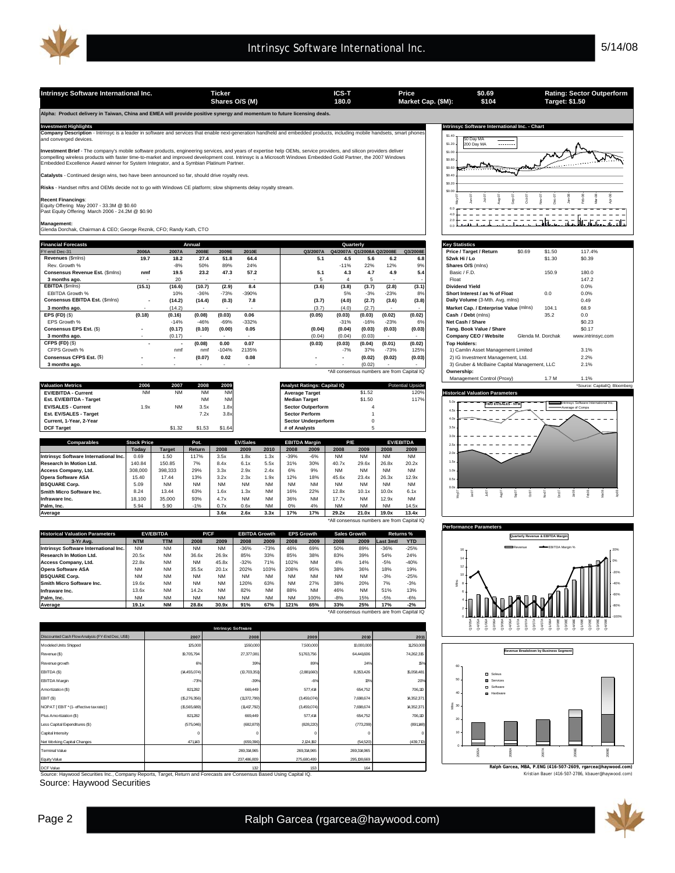Intrinsyc Software International Inc. **Ticker** Ticker **ICS-T** Price \$0.69 Rating: Sector Outperform<br>Shares O/S (M) 180.0 Market Cap. (\$M): \$104 Target: \$1.50

**Shares O/S (M) Market Cap. (\$M): 180.0 Target: \$1.50**

**Alpha: Product delivery in Taiwan, China and EMEA will provide positive synergy and momentum to future licensing deals.** 

**Company Description** - Intrinsyc is a leader in software and services that enable next-generation handheld and embedded products, including mobile handsets, smart phones **escription**<br>ed devices

**Investment Brief** - The company's mobile software products, engineering services, and years of expertise help OEMs, service providers, and silicon providers deliver<br>compelling wireless products with faster time-to-market

**Catalysts** - Continued design wins, two have been announced so far, should drive royalty revs.

**sks** - Handset mftrs and OEMs decide not to go with Windows CE platform; slow shipments delay royalty stream

**Recent Financings:**<br>Equity Offering May 2007 - 33.3M @ \$0.60<br>Past Equity Offering March 2006 - 24.2M @ \$0.90

**Management:** Glenda Dorchak, Chairman & CEO; George Reznik, CFO; Randy Kath, CTO

| <b>Financial Forecasts</b>      |                          |                          | Annual                   |                          |                          |          |        | Quarterly                  |                          |                                            | <b>Key Statistics</b>                                           |
|---------------------------------|--------------------------|--------------------------|--------------------------|--------------------------|--------------------------|----------|--------|----------------------------|--------------------------|--------------------------------------------|-----------------------------------------------------------------|
| FY-end Dec-31                   | 2006A                    | 2007A                    | 2008E                    | 2009E                    | 2010E                    | Q3/2007A |        | Q4/2007A Q1/2008A Q2/2008E |                          | Q3/2008E                                   | \$0.69<br>\$1.50<br>Price / Target / Return<br>117.4%           |
| Revenues (\$mins)               | 19.7                     | 18.2                     | 27.4                     | 51.8                     | 64.4                     | 5.1      | 4.5    | 5.6                        | 6.2                      | 6.8                                        | \$0.39<br>52wk Hi / Lo<br>\$1.30                                |
| Rev. Growth %                   |                          | $-8%$                    | 50%                      | 89%                      | 24%                      |          | $-11%$ | 22%                        | 12%                      | 9%                                         | Shares O/S (mlns)                                               |
| Consensus Revenue Est. (\$mins) | nmf                      | 19.5                     | 23.2                     | 47.3                     | 57.2                     | 5.1      | 4.3    | 4.7                        | 4.9                      | 5.4                                        | Basic / F.D.<br>150.9<br>180.0                                  |
| 3 months ago.                   | $\overline{\phantom{a}}$ | 20                       |                          |                          |                          |          |        |                            | $\overline{\phantom{a}}$ |                                            | 147.2<br>Float                                                  |
| EBITDA (\$mins)                 | (15.1)                   | (16.6)                   | (10.7)                   | (2.9)                    | 8.4                      | (3.6)    | (3.8)  | (3.7)                      | (2.8)                    | (3.1)                                      | Dividend Yield<br>0.0%                                          |
| <b>EBITDA Growth %</b>          |                          | 10%                      | $-36%$                   | $-73%$                   | $-390%$                  |          | 5%     | $-3%$                      | $-23%$                   | 8%                                         | 0.0%<br>Short Interest / as % of Float<br>0.0                   |
| Consensus EBITDA Est. (\$mins)  | $\overline{\phantom{a}}$ | (14.2)                   | (14.4)                   | (0.3)                    | 7.8                      | (3.7)    | (4.0)  | (2.7)                      | (3.6)                    | (3.8)                                      | Daily Volume (3-Mth. Avg. mlns)<br>0.49                         |
| 3 months ago.                   | $\overline{\phantom{a}}$ | (14.2)                   |                          |                          |                          | (3.7)    | (4.0)  | (2.7)                      |                          | $\sim$                                     | 68.9<br>Market Cap. / Enterprise Value (mlns)<br>104.1          |
| EPS $(FD)(\$)$                  | (0.18)                   | (0.16)                   | (0.08)                   | (0.03)                   | 0.06                     | (0.05)   | (0.03) | (0.03)                     | (0.02)                   | (0.02)                                     | Cash / Debt (mlns)<br>35.2<br>0.0                               |
| EPS Growth %                    |                          | $-14%$                   | $-46%$                   | $-69%$                   | $-332%$                  |          | $-31%$ | $-16%$                     | $-23%$                   | 6%                                         | \$0.23<br>Net Cash / Share                                      |
| Consensus EPS Est. (\$)         | $\overline{\phantom{a}}$ | (0.17)                   | (0.10)                   | (0.00)                   | 0.05                     | (0.04)   | (0.04) | (0.03)                     | (0.03)                   | (0.03)                                     | \$0.17<br>Tang. Book Value / Share                              |
| 3 months ago.                   | $\sim$                   | (0.17)                   |                          |                          |                          | (0.04)   | (0.04) | (0.03)                     |                          |                                            | Glenda M. Dorchak<br>Company CEO / Website<br>www.intrinsyc.com |
| CFPS (FD) (\$)                  |                          |                          | (0.08)                   | 0.00                     | 0.07                     | (0.03)   | (0.03) | (0.04)                     | (0.01)                   | (0.02)                                     | <b>Top Holders:</b>                                             |
| CFPS Growth %                   |                          | nmf                      | nmf                      | $-104%$                  | 2135%                    |          | $-7%$  | 37%                        | $-73%$                   | 125%                                       | 3.1%<br>1) Camlin Asset Management Limited                      |
| Consensus CFPS Est. (\$)        |                          | $\sim$                   | (0.07)                   | 0.02                     | 0.08                     |          |        | (0.02)                     | (0.02)                   | (0.03)                                     | 2.2%<br>2) IG Investment Management, Ltd.                       |
| 3 months ago.                   | $\overline{\phantom{a}}$ | $\overline{\phantom{a}}$ | $\overline{\phantom{a}}$ | $\overline{\phantom{a}}$ | $\overline{\phantom{a}}$ |          |        | (0.02)                     |                          |                                            | 3) Gruber & McBaine Capital Management, LLC<br>2.1%             |
|                                 |                          |                          |                          |                          |                          |          |        |                            |                          | *All consensus numbers are from Capital IQ | Ownership:                                                      |

|                            |           |           |           |           |                                    |        |                         | Management Control (Proxy)<br>$\ldots$ M                    |  |
|----------------------------|-----------|-----------|-----------|-----------|------------------------------------|--------|-------------------------|-------------------------------------------------------------|--|
| <b>Valuation Metrics</b>   | 2006      | 2007      | 2008      | 2009      | <b>Analyst Ratings: Capital IQ</b> |        | <b>Potential Upside</b> | *Source: CapitalIQ, Bloomberg                               |  |
| <b>EV/EBITDA - Current</b> | <b>NM</b> | <b>NM</b> | <b>NM</b> | <b>NM</b> | <b>Average Target</b>              | \$1.52 | 120%                    | <b>Historical Valuation Parameters</b>                      |  |
| Est. EV/EBITDA - Target    |           |           | <b>NM</b> | <b>NM</b> | <b>Median Target</b>               | \$1.50 | 117%                    | Intrinsyc Software International Inc.                       |  |
| <b>EV/SALES - Current</b>  | l.9x      | NM        | 3.5x      | 1.8x      | <b>Sector Outperform</b>           |        |                         | <b>FWD EV/SALES - NTM</b><br><b>MARKET AVErage of Comps</b> |  |
| Est. EV/SALES - Target     |           |           | 7.2x      | 3.8x      | <b>Sector Perform</b>              |        |                         |                                                             |  |
| Current, 1-Year, 2-Year    |           |           |           |           | <b>Sector Underperform</b>         |        |                         |                                                             |  |
| <b>DCF Target</b>          |           | \$1.32    | \$1.53    | \$1.64    | # of Analysts                      |        |                         | ---                                                         |  |

| <b>Comparables</b>                    | <b>Stock Price</b> |               | Pot.          |           | <b>EV/Sales</b> |           |           | <b>EBITDA Margin</b> | P/E       |           | <b>EV/EBITDA</b> |                                            |
|---------------------------------------|--------------------|---------------|---------------|-----------|-----------------|-----------|-----------|----------------------|-----------|-----------|------------------|--------------------------------------------|
|                                       | Todav              | <b>Target</b> | <b>Return</b> | 2008      | 2009            | 2010      | 2008      | 2009                 | 2008      | 2009      | 2008             | 2009                                       |
| Intrinsyc Software International Inc. | 0.69               | 1.50          | 117%          | 3.5x      | 1.8x            | 1.3x      | $-39%$    | $-6%$                | <b>NM</b> | <b>NM</b> | <b>NM</b>        | <b>NM</b>                                  |
| Research In Motion Ltd.               | 140.84             | 150.85        | 7%            | 8.4x      | 6.1x            | 5.5x      | 31%       | 30%                  | 40.7x     | 29.6x     | 26.8x            | 20.2x                                      |
| Access Company, Ltd.                  | 308,000            | 398.333       | 29%           | 3.3x      | 2.9x            | 2.4x      | 6%        | 9%                   | <b>NM</b> | <b>NM</b> | <b>NM</b>        | <b>NM</b>                                  |
| <b>Opera Software ASA</b>             | 5.40               | 17.44         | 13%           | 3.2x      | 2.3x            | 1.9x      | 12%       | 18%                  | 45.6x     | 23.4x     | 26.3x            | 12.9x                                      |
| <b>BSQUARE Corp.</b>                  | 5.09               | <b>NM</b>     | <b>NM</b>     | <b>NM</b> | <b>NM</b>       | <b>NM</b> | <b>NM</b> | <b>NM</b>            | <b>NM</b> | <b>NM</b> | <b>NM</b>        | <b>NM</b>                                  |
| Smith Micro Software Inc.             | 8.24               | 13.44         | 63%           | 1.6x      | 1.3x            | <b>NM</b> | 16%       | 22%                  | 12.8x     | 10.1x     | 10.0x            | 6.1x                                       |
| Infraware Inc.                        | 18,100             | 35,000        | 93%           | 4.7x      | <b>NM</b>       | <b>NM</b> | 36%       | <b>NM</b>            | 17.7x     | <b>NM</b> | 12.9x            | <b>NM</b>                                  |
| Palm. Inc.                            | 5.94               | 5.90          | $-1%$         | 0.7x      | 0.6x            | <b>NM</b> | 0%        | 4%                   | <b>NM</b> | <b>NM</b> | <b>NM</b>        | 14.5x                                      |
| Average                               |                    |               |               | 3.6x      | 2.6x            | 3.3x      | 17%       | 17%                  | 29.2x     | 21.0x     | 19.0x            | 13.4x                                      |
|                                       |                    |               |               |           |                 |           |           |                      |           |           |                  | *All consensus numbers are from Capital IQ |

| <b>Historical Valuation Parameters</b> |            | <b>EV/EBITDA</b> | <b>P/CF</b> |           |           | <b>EBITDA Growth</b> |           | <b>EPS Growth</b> | <b>Sales Growth</b> |           | Returns % |            |
|----------------------------------------|------------|------------------|-------------|-----------|-----------|----------------------|-----------|-------------------|---------------------|-----------|-----------|------------|
| 3-Yr Ava.                              | <b>NTM</b> | <b>TTM</b>       | 2008        | 2009      | 2008      | 2009                 | 2008      | 2009              | 2008                | 2009      | Last 3mtl | <b>YTD</b> |
| Intrinsvc Software International Inc.  | <b>NM</b>  | <b>NM</b>        | <b>NM</b>   | <b>NM</b> | $-36%$    | $-73%$               | 46%       | 69%               | 50%                 | 89%       | $-36%$    | $-25%$     |
| Research In Motion Ltd.                | 20.5x      | <b>NM</b>        | 36.6x       | 26.9x     | 85%       | 33%                  | 85%       | 38%               | 83%                 | 39%       | 54%       | 24%        |
| Access Company, Ltd.                   | 22.8x      | <b>NM</b>        | <b>NM</b>   | 45.8x     | $-32%$    | 71%                  | 102%      | <b>NM</b>         | 4%                  | 14%       | $-5%$     | $-40%$     |
| <b>Opera Software ASA</b>              | <b>NM</b>  | <b>NM</b>        | 35.5x       | 20.1x     | 202%      | 103%                 | 208%      | 95%               | 38%                 | 36%       | 18%       | 19%        |
| <b>IBSQUARE Corp.</b>                  | <b>NM</b>  | <b>NM</b>        | <b>NM</b>   | <b>NM</b> | <b>NM</b> | <b>NM</b>            | <b>NM</b> | <b>NM</b>         | <b>NM</b>           | <b>NM</b> | $-3%$     | $-25%$     |
| Smith Micro Software Inc.              | 19.6x      | <b>NM</b>        | <b>NM</b>   | <b>NM</b> | 120%      | 63%                  | <b>NM</b> | 27%               | 38%                 | 20%       | 7%        | $-3%$      |
| Infraware Inc.                         | 13.6x      | <b>NM</b>        | 14.2x       | <b>NM</b> | 82%       | <b>NM</b>            | 88%       | <b>NM</b>         | 46%                 | <b>NM</b> | 51%       | 13%        |
| Palm. Inc.                             | <b>NM</b>  | <b>NM</b>        | <b>NM</b>   | <b>NM</b> | <b>NM</b> | <b>NM</b>            | <b>NM</b> | 100%              | $-8%$               | 15%       | $-5%$     | $-6%$      |
| Average                                | 19.1x      | <b>NM</b>        | 28.8x       | 30.9x     | 91%       | 67%                  | 121%      | 65%               | 33%                 | 25%       | 17%       | $-2%$      |

\*All consensus numbers are from Capital IQ

|                                                  |                | <b>Intrinsyc Software</b> |             |              |            |
|--------------------------------------------------|----------------|---------------------------|-------------|--------------|------------|
| Discounted Cash Flow Analysis (FY-End Dec, US\$) | 2007           | 2008                      | 2009        | 2010         | 2011       |
| Modeled Units Shipped                            | 125,000        | 1550,000                  | 7,500,000   | 10,000,000   | 11250,000  |
| Revenue (\$)                                     | 19,705,794     | 27,377,081                | 51763,756   | 64,441,606   | 74,262,315 |
| Revenue growth                                   | 6%             | 39%                       | 89%         | 24%          | 15%        |
| EBITDA (\$)                                      | (14, 455, 074) | (10,703,351)              | (2,881660)  | 8,353,426    | 15,058,481 |
| <b>EBITDA</b> Margin                             | $-73%$         | $-39%$                    | $-6%$       | 13%          | 209        |
| Amortization (\$)                                | 821282         | 669,449                   | 577,414     | 654,752      | 706,110    |
| EBIT (\$)                                        | (15,276,356)   | (11372,799)               | (3,459,074) | 7,698,674    | 14,352,371 |
| NOPAT [EBIT * (1- effective tax rate) ]          | (15, 565, 689) | (11417, 792)              | (3,459,074) | 7,698,674    | 14,352,371 |
| Plus Amortization (\$)                           | 821282         | 669,449                   | 577,414     | 654,752      | 706,10     |
| Less Capital Expenditures (\$)                   | (575,046)      | (682, 879)                | (828, 220)  | (773, 299)   | (891, 148) |
| Capital Intensity                                | $^{\circ}$     | O                         | C           | $\Omega$     |            |
| Net Working Capital Changes                      | 471143         | (659,396)                 | 2, 124, 192 | (54, 520)    | (439,710)  |
| Terminal Value                                   |                | 269,314,965               | 269,314,965 | 269,314,965  |            |
| Equity Value                                     |                | 237,486,809               | 275,680,499 | 295, 08, 669 |            |
| DCF Value                                        |                | 132                       | 153         | 164          |            |

Source: Haywood Securities Inc., Company Reports, Target, Return and Forecasts are Consensus Based Using Capital IQ. Kristian Bauer (416-507-2786, kbauer@haywood.com) DCF Value 1 1.32 1 .53 .64

Source: Haywood Securities



**\$0.69 \$104**

| Key Statistics                              |        |                   |                               |
|---------------------------------------------|--------|-------------------|-------------------------------|
| Price / Target / Return                     | \$0.69 | \$1.50            | 117.4%                        |
| 52wk Hillo                                  |        | \$1.30            | \$0.39                        |
| Shares O/S (mlns)                           |        |                   |                               |
| Basic / F.D.                                |        | 150.9             | 180.0                         |
| Float                                       |        |                   | 147.2                         |
| <b>Dividend Yield</b>                       |        |                   | 0.0%                          |
| Short Interest / as % of Float              |        | 0.0               | 0.0%                          |
| Daily Volume (3-Mth. Avg. mlns)             |        |                   | 0.49                          |
| Market Cap. / Enterprise Value (mlns)       |        | 104.1             | 68.9                          |
| Cash / Debt (mlns)                          |        | 35.2              | 0.0                           |
| Net Cash / Share                            |        |                   | \$0.23                        |
| Tang. Book Value / Share                    |        |                   | <b>\$0.17</b>                 |
| Company CEO / Website                       |        | Glenda M. Dorchak | www.intrinsyc.com             |
| <b>Top Holders:</b>                         |        |                   |                               |
| 1) Camlin Asset Management Limited          |        |                   | 3.1%                          |
| 2) IG Investment Management, Ltd.           |        |                   | 2.2%                          |
| 3) Gruber & McBaine Capital Management, LLC |        | 2.1%              |                               |
| Ownership:                                  |        |                   |                               |
| Management Control (Proxy)                  |        | 1.7 M             | 1.1%                          |
|                                             |        |                   | *Source: CapitalIQ, Bloomberg |







**Ralph Garcea, MBA, P.ENG (416-507-2609, rgarcea@haywood.com)**

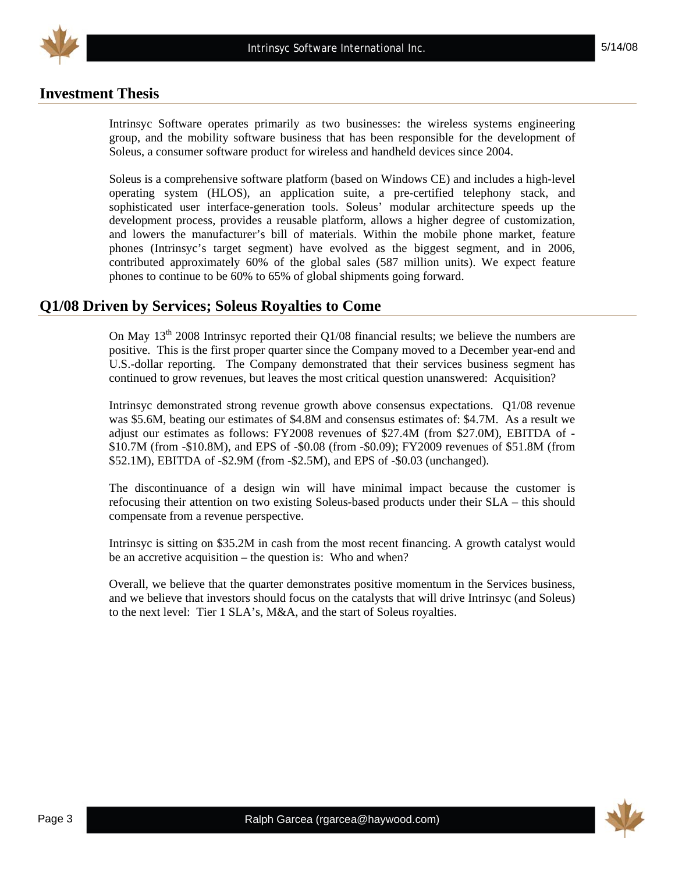

## **Investment Thesis**

Intrinsyc Software operates primarily as two businesses: the wireless systems engineering group, and the mobility software business that has been responsible for the development of Soleus, a consumer software product for wireless and handheld devices since 2004.

Soleus is a comprehensive software platform (based on Windows CE) and includes a high-level operating system (HLOS), an application suite, a pre-certified telephony stack, and sophisticated user interface-generation tools. Soleus' modular architecture speeds up the development process, provides a reusable platform, allows a higher degree of customization, and lowers the manufacturer's bill of materials. Within the mobile phone market, feature phones (Intrinsyc's target segment) have evolved as the biggest segment, and in 2006, contributed approximately 60% of the global sales (587 million units). We expect feature phones to continue to be 60% to 65% of global shipments going forward.

### **Q1/08 Driven by Services; Soleus Royalties to Come**

On May  $13<sup>th</sup>$  2008 Intrinsyc reported their Q1/08 financial results; we believe the numbers are positive. This is the first proper quarter since the Company moved to a December year-end and U.S.-dollar reporting. The Company demonstrated that their services business segment has continued to grow revenues, but leaves the most critical question unanswered: Acquisition?

Intrinsyc demonstrated strong revenue growth above consensus expectations. Q1/08 revenue was \$5.6M, beating our estimates of \$4.8M and consensus estimates of: \$4.7M. As a result we adjust our estimates as follows: FY2008 revenues of \$27.4M (from \$27.0M), EBITDA of - \$10.7M (from -\$10.8M), and EPS of -\$0.08 (from -\$0.09); FY2009 revenues of \$51.8M (from \$52.1M), EBITDA of -\$2.9M (from -\$2.5M), and EPS of -\$0.03 (unchanged).

The discontinuance of a design win will have minimal impact because the customer is refocusing their attention on two existing Soleus-based products under their SLA – this should compensate from a revenue perspective.

Intrinsyc is sitting on \$35.2M in cash from the most recent financing. A growth catalyst would be an accretive acquisition – the question is: Who and when?

Overall, we believe that the quarter demonstrates positive momentum in the Services business, and we believe that investors should focus on the catalysts that will drive Intrinsyc (and Soleus) to the next level: Tier 1 SLA's, M&A, and the start of Soleus royalties.

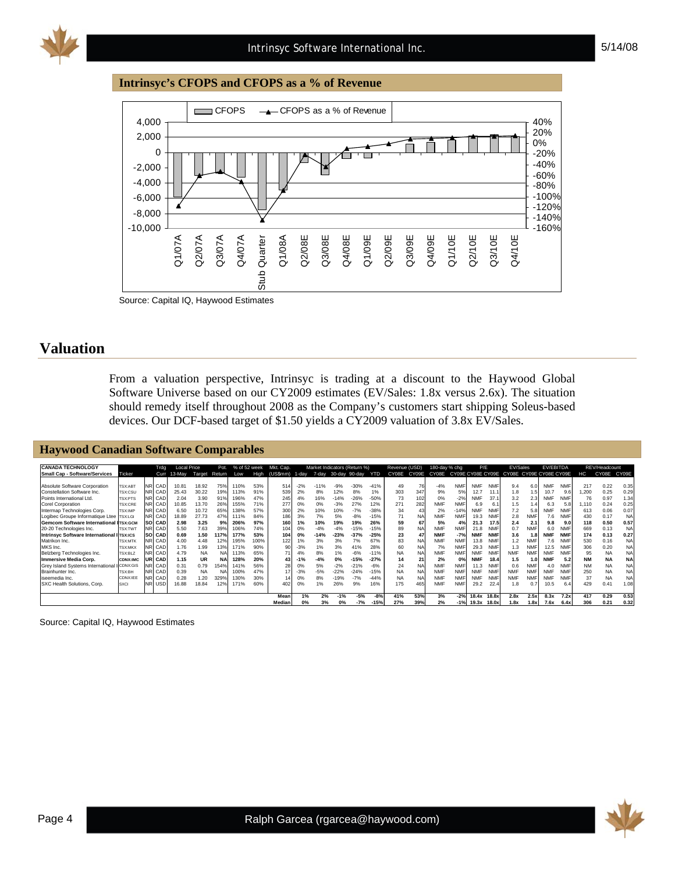#### **Intrinsyc's CFOPS and CFOPS as a % of Revenue**



Source: Capital IQ, Haywood Estimates

### **Valuation**

From a valuation perspective, Intrinsyc is trading at a discount to the Haywood Global Software Universe based on our CY2009 estimates (EV/Sales: 1.8x versus 2.6x). The situation should remedy itself throughout 2008 as the Company's customers start shipping Soleus-based devices. Our DCF-based target of \$1.50 yields a CY2009 valuation of 3.8x EV/Sales.

#### **Haywood Canadian Software Comparables**

| <b>CANADA TECHNOLOGY</b>                      |                 |           | Trdg          | <b>Local Price</b> |           | Pot.      | % of 52 week |      | Mkt. Cap. |       |        |        | Market Indicators (Return %) |            | Revenue (USD) |           | 180-day % chg |            | P/E        |            | EV/Sales                                  |            | EV/EBITDA  |            |           | REV/Headcount |           |
|-----------------------------------------------|-----------------|-----------|---------------|--------------------|-----------|-----------|--------------|------|-----------|-------|--------|--------|------------------------------|------------|---------------|-----------|---------------|------------|------------|------------|-------------------------------------------|------------|------------|------------|-----------|---------------|-----------|
| <b>Small Cap - Software/Services</b>          | Ticker          |           | Curr          | 13-Mav             | Target    | Return    | Low          | High | (US\$mm)  | 1-dav | 7-dav  |        | 30-day 90-day                | <b>YTD</b> | CY08E         | CY09E     | CY08E         |            |            |            | CY09E CY08E CY09E CY08E CY09E CY08E CY09E |            |            |            | нc        | CY08E         | CY09E     |
|                                               |                 |           |               |                    |           |           |              |      |           |       |        |        |                              |            |               |           |               |            |            |            |                                           |            |            |            |           |               |           |
| Absolute Software Corporation                 | <b>TSX:ABT</b>  | <b>NR</b> | CAD           | $10.8^{\circ}$     | 18.92     | 75%       | 110%         | 53%  | 514       | $-2%$ | $-11%$ | $-9%$  | $-30%$                       | $-41%$     | 49            | 76        | $-4%$         | <b>NMF</b> | <b>NMF</b> | <b>NMF</b> | 9.4                                       | 6.0        | <b>NMF</b> | <b>NMF</b> | 217       | 0.22          | 0.35      |
| Constellation Software Inc.                   | <b>TSX:CSU</b>  |           | CAD           | 25.43              | 30.22     | 19%       | 113%         | 91%  | 539       | 2%    | 8%     | 12%    | 8%                           | 1%         | 303           | 347       | 9%            | 5%         | 12.7       | 11.1       | 1.8                                       | 1.5        | 10.7       | 9.6        | 1,200     | 0.25          | 0.29      |
| Points International Ltd.                     | <b>TSX:PTS</b>  |           | NR CAD        | 2.04               | 3.90      | 91%       | 196%         | 47%  | 245       | 4%    | 16%    | $-14%$ | $-26%$                       | $-50%$     | 73            | 102       | 0%            | $-2%$      | <b>NMF</b> | 37.1       | 3.2                                       | 2.3        | <b>NMF</b> | <b>NMF</b> | 76        | 0.97          | 1.34      |
| Corel Corporation                             | <b>TSX:CRE</b>  |           | CAD           | 10.85              | 13.70     | 26%       | 155%         | 71%  | 277       | 0%    | 0%     | $-3%$  | 27%                          | 12%        | 271           | 282       | <b>NMF</b>    | <b>NMF</b> | 6.9        | 6.1        | 1.5                                       | 1.4        | 6.3        | 5.8        | 1.110     | 0.24          | 0.25      |
| Intermap Technologies Corp.                   | <b>TSX:IMP</b>  |           | CAD           | 6.50               | 10.72     | 65%       | 138%         | 57%  | 300       | 2%    | 10%    | 10%    | $-7%$                        | $-38%$     | 34            |           | 2%            | $-14%$     | <b>NMF</b> | <b>NMF</b> | 7.2                                       | 5.8        | NMF        | <b>NMF</b> | 613       | 0.06          | 0.07      |
| Logibec Groupe Informatique Ltee TSX:LGI      |                 |           | NR CAD        | 18.89              | 27.73     | 47%       | 111%         | 84%  | 186       | 3%    | 7%     | 5%     | $-8%$                        | $-15%$     | 71            | NA.       | <b>NMF</b>    | <b>NMF</b> | 19.3       | <b>NMF</b> | 2.8                                       | <b>NMF</b> | 7.6        | <b>NMF</b> | 430       | 0.17          | <b>NA</b> |
| <b>Gemcom Software International ITSX:GCM</b> |                 |           | <b>SO CAD</b> | 2.98               | 3.25      | 9%        | 206%         | 97%  | 160       | 1%    | 10%    | 19%    | 19%                          | 26%        | 59            | 67        | 5%            | 4%         | 21.3       | 17.5       | 2.4                                       | 2.1        | 9.8        | 9.0        | 118       | 0.50          | 0.57      |
| 20-20 Technologies Inc.                       | <b>TSX:TWT</b>  |           | NR CAD        | 5.50               | 7.63      | 39%       | 106%         | 74%  | 104       | 0%    | $-4%$  | $-4%$  | 15%                          | $-15%$     | 89            | <b>NA</b> | <b>NMF</b>    | <b>NMF</b> | 21.8       | <b>NMF</b> | 0.7                                       | <b>NMF</b> | 6.0        | <b>NMF</b> | 669       | 0.13          | <b>NA</b> |
| Intrinsyc Software International I TSX:ICS    |                 |           | <b>SO CAD</b> | 0.69               | 1.50      | 117%      | 177%         | 53%  | 104       | 0%    | $-14%$ | $-23%$ | $-37%$                       | $-25%$     | 23            |           | <b>NMF</b>    | $-7%$      | <b>NMF</b> | <b>NMF</b> | 3.6                                       | 1.8        |            | <b>NMF</b> | 174       | 0.13          | 0.27      |
| Matrikon Inc.                                 | <b>TSX:MTK</b>  |           | CAD           | 4.00               | 4.48      | 12%       | 195%         | 100% | 122       | 1%    | 3%     | 3%     | 7%                           | 67%        | 83            | <b>NA</b> | <b>NMF</b>    | <b>NMF</b> | 13.8       | <b>NMF</b> |                                           | <b>NMF</b> | 7.6        | <b>NMF</b> | 530       | 0.16          | <b>NA</b> |
| MKS Inc.                                      | <b>TSX:MKX</b>  |           | NR CAD        | 1.76               | 1.99      | 13%       | 171%         | 90%  | 90        | $-3%$ | 1%     | 3%     | 41%                          | 28%        | 60            | NA        | 7%            | <b>NMF</b> | 29.3       | <b>NMF</b> | 1.3                                       | <b>NMF</b> | 12.5       | <b>NMF</b> | 306       | 0.20          | <b>NA</b> |
| Belzberg Technologies Inc.                    | <b>TSX:BLZ</b>  |           | CAD           | 4.79               | <b>NA</b> | <b>NA</b> | 113%         | 65%  | 71        | 4%    | 8%     | 1%     | $-6%$                        | $-11%$     | <b>NA</b>     | <b>NA</b> | <b>NMF</b>    | <b>NMF</b> | <b>NMF</b> | <b>NMF</b> | <b>NMF</b>                                | <b>NMF</b> | <b>NMF</b> | <b>NMF</b> | 95        | <b>NA</b>     | <b>NA</b> |
| <b>Immersive Media Corp.</b>                  | <b>CDNX:IMC</b> |           | UR CAD        | 1.15               | <b>UR</b> | <b>NA</b> | 128%         | 20%  | 43        | $-1%$ | $-4%$  | 0%     | $-15%$                       | $-27%$     | 14            | 21        | 2%            | 0%         | <b>NMF</b> | 18.4       | 1.5                                       | 1.0        | <b>NMF</b> | 5.2        | <b>NM</b> | <b>NA</b>     | <b>NA</b> |
| Grev Island Systems International             | CDNX:GIS        |           | CAD           | 0.31               | 0.79      | 154%      | 141%         | 56%  | 28        | 0%    | 5%     | $-2%$  | $-21%$                       | $-6%$      | 24            | <b>NA</b> | <b>NMF</b>    | <b>NMF</b> | 11.3       | <b>NMF</b> | 0.6                                       | <b>NMF</b> | 4.0        | <b>NMF</b> | <b>NM</b> | <b>NA</b>     | <b>NA</b> |
| Brainhunter Inc.                              | <b>TSX:BH</b>   |           | CAD           | 0.39               | NA        | N.        | 100%         | 47%  | 17        | $-3%$ | $-5%$  | $-22%$ | $-24%$                       | $-15%$     | <b>NA</b>     | <b>NA</b> | <b>NMF</b>    | <b>NMF</b> | <b>NMF</b> | <b>NMF</b> | <b>NMF</b>                                | <b>NMF</b> | <b>NMF</b> | <b>NM</b>  | 250       | <b>NA</b>     | <b>NA</b> |
| iseemedia Inc.                                | CDNX:IEE        |           | <b>CAD</b>    | 0.28               | 1.20      | 329%      | 130%         | 30%  |           | 0%    | 8%     | $-19%$ | $-7%$                        | $-44%$     | <b>NA</b>     | <b>NA</b> | <b>NMF</b>    | <b>NMF</b> | <b>NMF</b> | <b>NMF</b> | <b>NMF</b>                                | <b>NMF</b> | <b>NMF</b> | <b>NMF</b> | 37        | <b>NA</b>     | <b>NA</b> |
| SXC Health Solutions, Corp.                   | <b>SXCI</b>     |           | <b>USD</b>    | 16.88              | 18.84     | 12%       | 171%         | 60%  | 402       | 0%    | 1%     | 26%    | 9%                           | 16%        | 175           | 465       | <b>NMF</b>    | <b>NMF</b> | 29.2       | 22.4       | 1.8                                       |            | 10.5       | 6.4        | 429       | 0.41          | 1.08      |
|                                               |                 |           |               |                    |           |           |              |      |           |       |        |        |                              |            |               |           |               |            |            |            |                                           |            |            |            |           |               |           |
|                                               |                 |           |               |                    |           |           |              |      | Mean      | 1%    | 2%     | $-1%$  | $-5%$                        | $-8%$      | 41%           | 53%       | 3%            | $-2%$      | 18.4x      | 18.8x      | 2.8x                                      | 2.5x       | 8.3x       | 7.2x       | 417       | 0.29          | 0.53      |
|                                               |                 |           |               |                    |           |           |              |      | Median    | 0%    | 3%     |        | $-7%$                        | $-15%$     | 27%           | 39%       | 2%            | $-1%$      | 19.3x      | 18.0x      | 1.8x                                      | 1.8x       | 7.6x       | 6.4x       | 306       | 0.21          | 0.32      |

Source: Capital IQ, Haywood Estimates

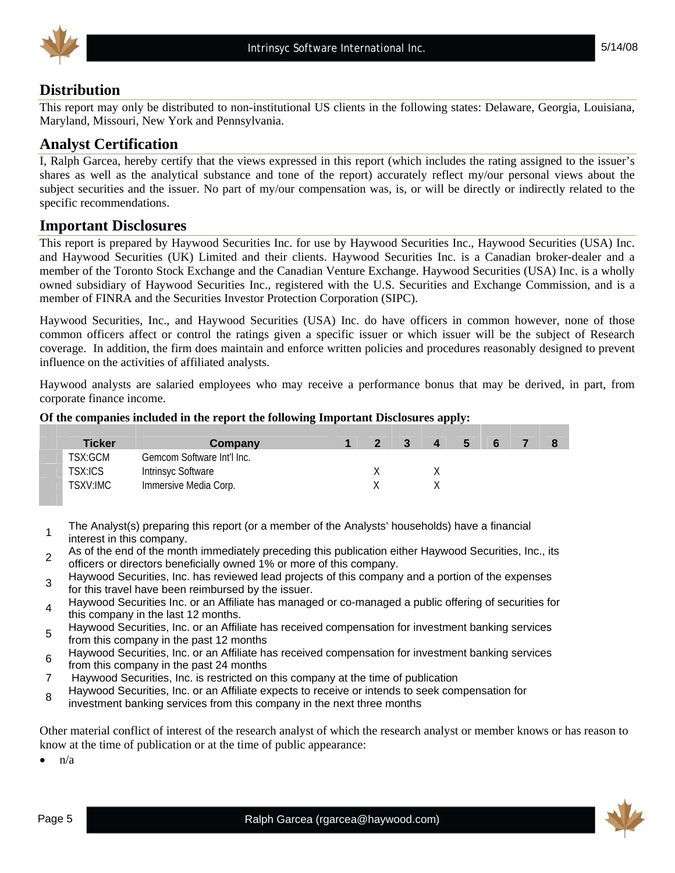

## **Distribution**

This report may only be distributed to non-institutional US clients in the following states: Delaware, Georgia, Louisiana, Maryland, Missouri, New York and Pennsylvania.

## **Analyst Certification**

I, Ralph Garcea, hereby certify that the views expressed in this report (which includes the rating assigned to the issuer's shares as well as the analytical substance and tone of the report) accurately reflect my/our personal views about the subject securities and the issuer. No part of my/our compensation was, is, or will be directly or indirectly related to the specific recommendations.

## **Important Disclosures**

This report is prepared by Haywood Securities Inc. for use by Haywood Securities Inc., Haywood Securities (USA) Inc. and Haywood Securities (UK) Limited and their clients. Haywood Securities Inc. is a Canadian broker-dealer and a member of the Toronto Stock Exchange and the Canadian Venture Exchange. Haywood Securities (USA) Inc. is a wholly owned subsidiary of Haywood Securities Inc., registered with the U.S. Securities and Exchange Commission, and is a member of FINRA and the Securities Investor Protection Corporation (SIPC).

Haywood Securities, Inc., and Haywood Securities (USA) Inc. do have officers in common however, none of those common officers affect or control the ratings given a specific issuer or which issuer will be the subject of Research coverage. In addition, the firm does maintain and enforce written policies and procedures reasonably designed to prevent influence on the activities of affiliated analysts.

Haywood analysts are salaried employees who may receive a performance bonus that may be derived, in part, from corporate finance income.

#### **Of the companies included in the report the following Important Disclosures apply:**

| <b>Ticker</b>  | Company                    | $\overline{2}$ | $\overline{\mathbf{3}}$ | D. | -6 |  |
|----------------|----------------------------|----------------|-------------------------|----|----|--|
| TSX:GCM        | Gemcom Software Int'l Inc. |                |                         |    |    |  |
| <b>TSX:ICS</b> | <b>Intrinsyc Software</b>  |                |                         |    |    |  |
| TSXV:IMC       | Immersive Media Corp.      |                |                         |    |    |  |

- <sup>1</sup>The Analyst(s) preparing this report (or a member of the Analysts' households) have a financial interest in this company.
- 2 As of the end of the month immediately preceding this publication either Haywood Securities, Inc., its officers or directors beneficially owned 1% or more of this company.
- Haywood Securities, Inc. has reviewed lead projects of this company and a portion of the expenses for this travel have been reimbursed by the issuer.
- Haywood Securities Inc. or an Affiliate has managed or co-managed a public offering of securities for this company in the last 12 months.
- Haywood Securities, Inc. or an Affiliate has received compensation for investment banking services from this company in the past 12 months
- <sup>6</sup>Haywood Securities, Inc. or an Affiliate has received compensation for investment banking services from this company in the past 24 months
- 7 Haywood Securities, Inc. is restricted on this company at the time of publication
- <sup>8</sup>Haywood Securities, Inc. or an Affiliate expects to receive or intends to seek compensation for
- investment banking services from this company in the next three months

Other material conflict of interest of the research analyst of which the research analyst or member knows or has reason to know at the time of publication or at the time of public appearance:

 $\bullet$  n/a

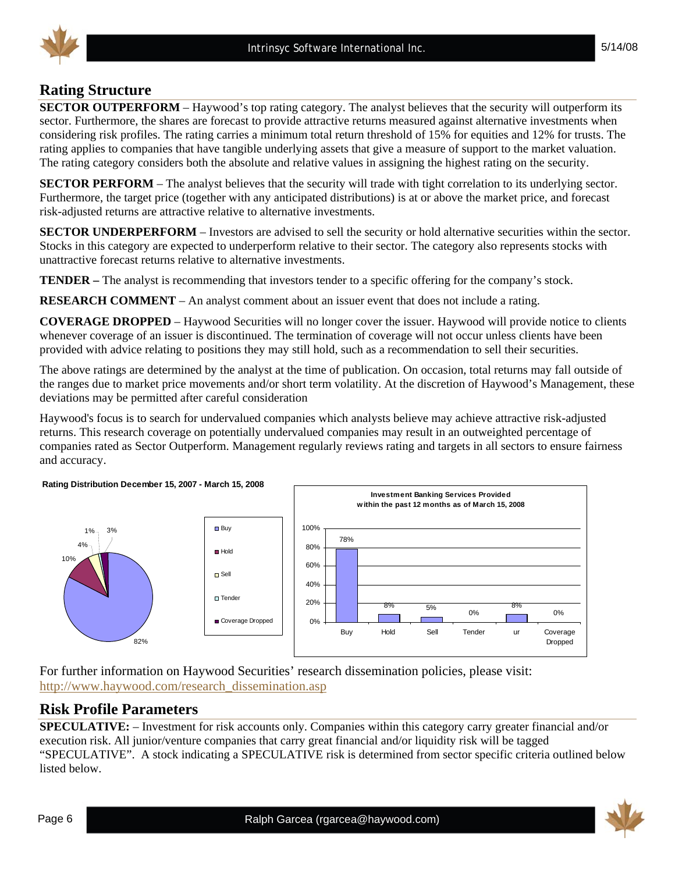## **Rating Structure**

**SECTOR OUTPERFORM** – Haywood's top rating category. The analyst believes that the security will outperform its sector. Furthermore, the shares are forecast to provide attractive returns measured against alternative investments when considering risk profiles. The rating carries a minimum total return threshold of 15% for equities and 12% for trusts. The rating applies to companies that have tangible underlying assets that give a measure of support to the market valuation. The rating category considers both the absolute and relative values in assigning the highest rating on the security.

**SECTOR PERFORM** – The analyst believes that the security will trade with tight correlation to its underlying sector. Furthermore, the target price (together with any anticipated distributions) is at or above the market price, and forecast risk-adjusted returns are attractive relative to alternative investments.

**SECTOR UNDERPERFORM** – Investors are advised to sell the security or hold alternative securities within the sector. Stocks in this category are expected to underperform relative to their sector. The category also represents stocks with unattractive forecast returns relative to alternative investments.

**TENDER –** The analyst is recommending that investors tender to a specific offering for the company's stock.

**RESEARCH COMMENT** – An analyst comment about an issuer event that does not include a rating.

**COVERAGE DROPPED** – Haywood Securities will no longer cover the issuer. Haywood will provide notice to clients whenever coverage of an issuer is discontinued. The termination of coverage will not occur unless clients have been provided with advice relating to positions they may still hold, such as a recommendation to sell their securities.

The above ratings are determined by the analyst at the time of publication. On occasion, total returns may fall outside of the ranges due to market price movements and/or short term volatility. At the discretion of Haywood's Management, these deviations may be permitted after careful consideration

Haywood's focus is to search for undervalued companies which analysts believe may achieve attractive risk-adjusted returns. This research coverage on potentially undervalued companies may result in an outweighted percentage of companies rated as Sector Outperform. Management regularly reviews rating and targets in all sectors to ensure fairness and accuracy.



For further information on Haywood Securities' research dissemination policies, please visit: http://www.haywood.com/research\_dissemination.asp

## **Risk Profile Parameters**

**SPECULATIVE:** – Investment for risk accounts only. Companies within this category carry greater financial and/or execution risk. All junior/venture companies that carry great financial and/or liquidity risk will be tagged "SPECULATIVE". A stock indicating a SPECULATIVE risk is determined from sector specific criteria outlined below listed below.